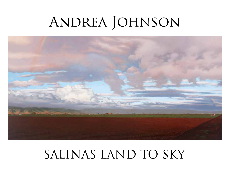# ANDREA JOHNSON



## SALINAS LAND TO SKY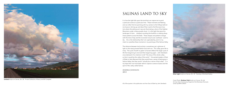

## Untitled Acrylic on Canvas, 36 x 36 Private Collection of Nancy and Bill Campbell Campbell Campbell Cover Photo: Rainbow Field Acrylic on Canvas, 32 x 66

On loan from Community Hospital of the Monterey Peninsula Given by BNH & WGH

## SALINAS LAND TO SKY

It is how the light falls upon the land that can inspire me to paint a particular scene at a particular time. These moments are fleeting, and can often find me sprinting with my camera to the hilltops behind my house or driving up and down River road to find the exact location where the setting sun's rays are illuminating a sliver of the Gabilan Mountains under a heavy purple cloud. It is the light that gives this landscape it's form… shadows rounding the foothills or creating sharp linear patterns across the fields. These shapes and patterns change with the time of day and the inconstant cloud cover overhead. Land to sky… this is the relationship that I am captivated by, and it is my intent to crystallize these moments in my paintings of the Salinas Valley.

The distance between land and sky is sometimes just a glimmer of light on the newly plowed fields moist with rain. This valley gives life to many. The cycle of earth to green to harvest reflects the larger cycle of life from beginning to end and then beginning again. John Steinbeck once declared it his intention to tell "the story of this whole valley… so that it would be the valley of the world." He wanted readers of *East of Eden* to feel afterward that they would have a sense of belonging in Salinas Valley, that they would "actually be a native of that valley". It is my hope that I too have been able to capture a sense of place and the spirit of this valley called Salinas.

## Andrea Johnson



Silver Light Acrylic on Canvas, 24 x 18 Courtesy of Winfield Gallery

2013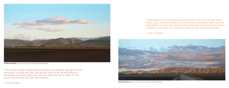

**Outside Greenfield** Acrylic on Canvas, 24 x 36 Courtesy of Winfield Gallery

"The floor of the Salinas valley, between the ranges and below the foothills, is level because this valley used to be the bottom of a hundred-mile inlet from the sea...on the wide level acres of the valley the topsoil lay deep and fertile."



—East of Eden

"I remember that the Gabilan Mountains to the east of the valley were light gay mountains full of sun and loveliness and a kind of invitation, so that you wanted to climb into their warm foothills almost as you want to climb into the lap of a beloved mother."

—East of Eden

Gabilan Mountains Acrylic on Canvas, 28 x 72 Courtesy of Winfield Gallery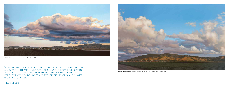

Valley Floor Acrylic on Canvas, 36 x 72 Courtesy of Winfield Gallery

"Now, on the top is good soil, particularly on the flats. In the upper valley it is light and sandy, but mixed in with that, the top sweetness of the hills that washed down on it in the winters. As you go north the valley widens out, and the soil gets blacker and heavier and perhaps richer."



—East of Eden

Landscape with Field Rows Acrylic on Canvas, 30 x 48 Courtesy of Winfield Gallery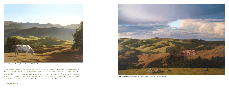

Untitled Acrylic on Canvas, 48 x 36 Courtesy of Winfield Gallery

"The green lasted on the hills far into June before the grass turned yellow. The heads of the oats were so heavy with seed that they hung over on their stalks. The little springs trickled on late in the summer. The range cattle staggered under their fat and their hides shone with health. It was a year when the people of the Salinas vAlley forgot the dry years."



—East of Eden

View Over Fort Ord Hills Acrylic on Canvas, 48 x 72 Courtesy of Winfield Gallery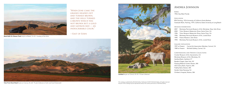

Black Bulls On Olassen Peak Acrylic on Board, 12 x 24 Courtesy of the Artist

"When June came the grasses headed out and turned brown, and the hills turned a brown which was not brown but a gold and saffron red — an indescribable color."

## —East of Eden



View From Davis Road Acrylic on Canvas, 24 x 60 Private Collection of John and Carol Greenwald



Untitled Acrylic on Canvas, 32 x 42 Private Collection

## Andrea Johnson

Born 1954, Key West Florida

#### Education

BFA Painting, 1976 University of California Santa Barbara Graduate Work, Painting, 1979, California State University at Long Beach

### Museum Exhibitions

- 2007 Monterey Peninsula Museum of Art, Monterey: Now, Solo Show
- 2000 Triton Museum Watercolor Show, Santa Clara, CA
- 1996 Triton Museum Watercolor Show, Santa Clara, CA
- 1996 Monterey Peninsula Museum of Art, Juried Show
- 1995 Fresno Museum, Solo Show
- 1994 Monterey Peninsula Museum of Art, Juried Show

#### Gallery Affiliation

1997 to Present Carmel Art Association Member, Carmel, CA 1989 to Present Winfield Gallery, Carmel, CA

## Corporations and Private Collections

Crocker Museum of Art, Sacramento, CA Monterey Museum of Art, Monterey, CA Hartford Bank, Hartford, CT Reader's Digest, New York, NY Floating Medical Center, Boston, MA Old Colony Bank, Hyannis, MA Fidelity Bank, Boston, MA Garden State Raceway, NJ Children's Hospital, Boston, MA